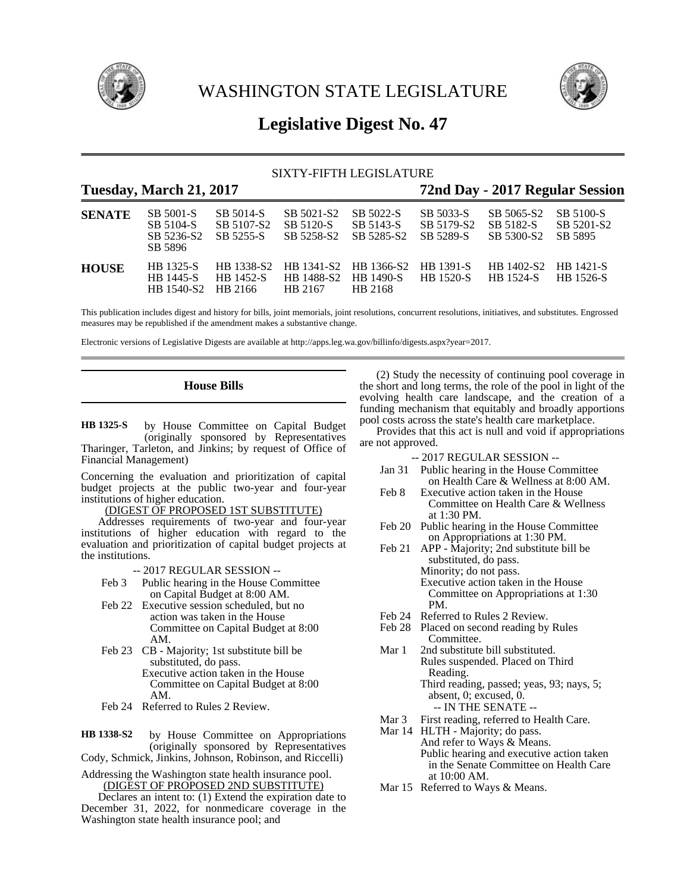

WASHINGTON STATE LEGISLATURE



# **Legislative Digest No. 47**

### SIXTY-FIFTH LEGISLATURE

## **Tuesday, March 21, 2017 72nd Day - 2017 Regular Session**

| <b>SENATE</b> | SB 5001-S<br>SB 5104-S<br>SB 5236-S2<br>SB 5896    | SB 5014-S<br>SB 5107-S2<br>SB 5255-S | SB 5021-S2<br>SB 5120-S<br>SB 5258-S2                                         | SB 5022-S<br>SB 5143-S<br>SB 5285-S2 | SB 5033-S<br>SB 5179-S2<br>SB 5289-S | SB 5065-S2<br>SB 5182-S<br>SB 5300-S2    | SB 5100-S<br>SB 5201-S2<br>SB 5895 |
|---------------|----------------------------------------------------|--------------------------------------|-------------------------------------------------------------------------------|--------------------------------------|--------------------------------------|------------------------------------------|------------------------------------|
| <b>HOUSE</b>  | <b>HB</b> 1325-S<br><b>HB</b> 1445-S<br>HB 1540-S2 | <b>HB</b> 1452-S<br>HB 2166          | HB 1338-S2 HB 1341-S2 HB 1366-S2 HB 1391-S<br>HB 1488-S2 HB 1490-S<br>HB 2167 | HB 2168                              | <b>HB</b> 1520-S                     | HB 1402-S2 HB 1421-S<br><b>HR</b> 1524-S | HB 1526-S                          |

This publication includes digest and history for bills, joint memorials, joint resolutions, concurrent resolutions, initiatives, and substitutes. Engrossed measures may be republished if the amendment makes a substantive change.

Electronic versions of Legislative Digests are available at http://apps.leg.wa.gov/billinfo/digests.aspx?year=2017.

### **House Bills**

by House Committee on Capital Budget (originally sponsored by Representatives Tharinger, Tarleton, and Jinkins; by request of Office of Financial Management) **HB 1325-S**

Concerning the evaluation and prioritization of capital budget projects at the public two-year and four-year institutions of higher education.

#### (DIGEST OF PROPOSED 1ST SUBSTITUTE)

Addresses requirements of two-year and four-year institutions of higher education with regard to the evaluation and prioritization of capital budget projects at the institutions.

- -- 2017 REGULAR SESSION --
- Feb 3 Public hearing in the House Committee on Capital Budget at 8:00 AM.
- Feb 22 Executive session scheduled, but no action was taken in the House Committee on Capital Budget at 8:00 AM.
- Feb 23 CB Majority; 1st substitute bill be substituted, do pass. Executive action taken in the House Committee on Capital Budget at 8:00 AM.
- Feb 24 Referred to Rules 2 Review.
- by House Committee on Appropriations (originally sponsored by Representatives Cody, Schmick, Jinkins, Johnson, Robinson, and Riccelli) **HB 1338-S2**
- Addressing the Washington state health insurance pool. (DIGEST OF PROPOSED 2ND SUBSTITUTE)

Declares an intent to: (1) Extend the expiration date to December 31, 2022, for nonmedicare coverage in the Washington state health insurance pool; and

(2) Study the necessity of continuing pool coverage in the short and long terms, the role of the pool in light of the evolving health care landscape, and the creation of a funding mechanism that equitably and broadly apportions pool costs across the state's health care marketplace.

Provides that this act is null and void if appropriations are not approved.

- Jan 31 Public hearing in the House Committee on Health Care & Wellness at 8:00 AM.
- Feb 8 Executive action taken in the House Committee on Health Care & Wellness at 1:30 PM.
- Feb 20 Public hearing in the House Committee on Appropriations at 1:30 PM.
- Feb 21 APP Majority; 2nd substitute bill be substituted, do pass. Minority; do not pass. Executive action taken in the House Committee on Appropriations at 1:30 PM.
- Feb 24 Referred to Rules 2 Review.
- Feb 28 Placed on second reading by Rules Committee.
- Mar 1 2nd substitute bill substituted. Rules suspended. Placed on Third Reading. Third reading, passed; yeas, 93; nays, 5;
	- absent, 0; excused, 0. -- IN THE SENATE --
- Mar 3 First reading, referred to Health Care.
- Mar 14 HLTH Majority; do pass. And refer to Ways & Means. Public hearing and executive action taken in the Senate Committee on Health Care at 10:00 AM.
- Mar 15 Referred to Ways & Means.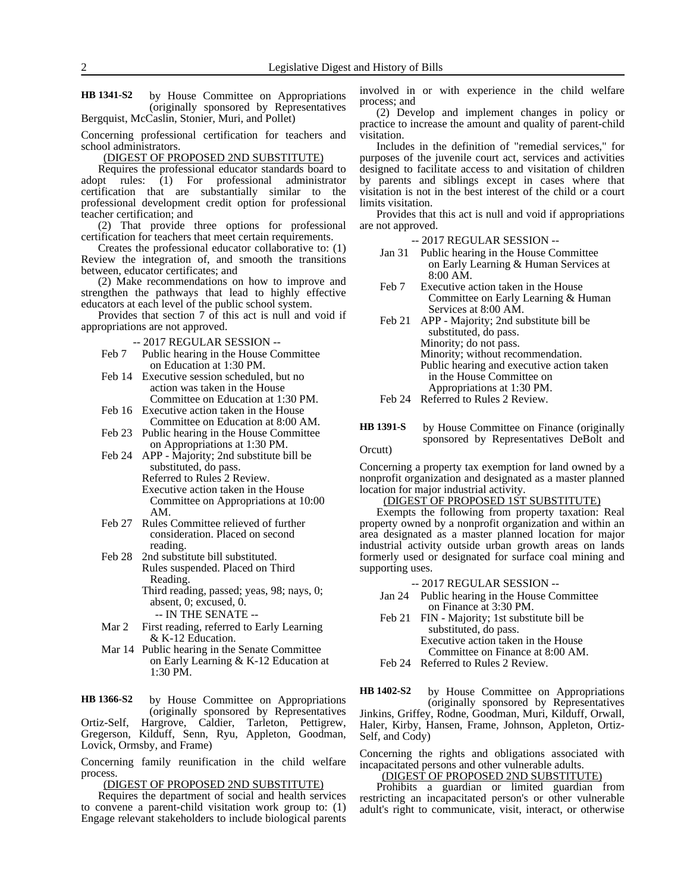by House Committee on Appropriations (originally sponsored by Representatives Bergquist, McCaslin, Stonier, Muri, and Pollet) **HB 1341-S2**

Concerning professional certification for teachers and school administrators.

(DIGEST OF PROPOSED 2ND SUBSTITUTE)

Requires the professional educator standards board to adopt rules: (1) For professional administrator certification that are substantially similar to the professional development credit option for professional teacher certification; and

(2) That provide three options for professional certification for teachers that meet certain requirements.

Creates the professional educator collaborative to: (1) Review the integration of, and smooth the transitions between, educator certificates; and

(2) Make recommendations on how to improve and strengthen the pathways that lead to highly effective educators at each level of the public school system.

Provides that section 7 of this act is null and void if appropriations are not approved.

-- 2017 REGULAR SESSION --

- Feb 7 Public hearing in the House Committee on Education at 1:30 PM.
- Feb 14 Executive session scheduled, but no action was taken in the House Committee on Education at 1:30 PM.
- Feb 16 Executive action taken in the House Committee on Education at 8:00 AM.
- Feb 23 Public hearing in the House Committee on Appropriations at 1:30 PM.
- Feb 24 APP Majority; 2nd substitute bill be substituted, do pass.

Referred to Rules 2 Review. Executive action taken in the House Committee on Appropriations at 10:00 AM.

- Feb 27 Rules Committee relieved of further consideration. Placed on second reading.
- Feb 28 2nd substitute bill substituted. Rules suspended. Placed on Third Reading. Third reading, passed; yeas, 98; nays, 0; absent, 0; excused, 0.

-- IN THE SENATE --

- Mar 2 First reading, referred to Early Learning & K-12 Education.
- Mar 14 Public hearing in the Senate Committee on Early Learning & K-12 Education at 1:30 PM.

by House Committee on Appropriations (originally sponsored by Representatives Ortiz-Self, Hargrove, Caldier, Tarleton, Pettigrew, Gregerson, Kilduff, Senn, Ryu, Appleton, Goodman, Lovick, Ormsby, and Frame) **HB 1366-S2**

Concerning family reunification in the child welfare process.

(DIGEST OF PROPOSED 2ND SUBSTITUTE)

Requires the department of social and health services to convene a parent-child visitation work group to: (1) Engage relevant stakeholders to include biological parents involved in or with experience in the child welfare process; and

(2) Develop and implement changes in policy or practice to increase the amount and quality of parent-child visitation.

Includes in the definition of "remedial services," for purposes of the juvenile court act, services and activities designed to facilitate access to and visitation of children by parents and siblings except in cases where that visitation is not in the best interest of the child or a court limits visitation.

Provides that this act is null and void if appropriations are not approved.

-- 2017 REGULAR SESSION --

- Jan 31 Public hearing in the House Committee on Early Learning & Human Services at 8:00 AM.
- Feb 7 Executive action taken in the House Committee on Early Learning & Human Services at 8:00 AM.
- Feb 21 APP Majority; 2nd substitute bill be substituted, do pass. Minority; do not pass. Minority; without recommendation. Public hearing and executive action taken in the House Committee on Appropriations at 1:30 PM.
- Feb 24 Referred to Rules 2 Review.
- by House Committee on Finance (originally sponsored by Representatives DeBolt and Orcutt) **HB 1391-S**

Concerning a property tax exemption for land owned by a nonprofit organization and designated as a master planned location for major industrial activity.

(DIGEST OF PROPOSED 1ST SUBSTITUTE)

Exempts the following from property taxation: Real property owned by a nonprofit organization and within an area designated as a master planned location for major industrial activity outside urban growth areas on lands formerly used or designated for surface coal mining and supporting uses.

#### -- 2017 REGULAR SESSION --

- Jan 24 Public hearing in the House Committee on Finance at 3:30 PM.
- Feb 21 FIN Majority; 1st substitute bill be substituted, do pass.

Executive action taken in the House Committee on Finance at 8:00 AM.

Feb 24 Referred to Rules 2 Review.

by House Committee on Appropriations (originally sponsored by Representatives Jinkins, Griffey, Rodne, Goodman, Muri, Kilduff, Orwall, Haler, Kirby, Hansen, Frame, Johnson, Appleton, Ortiz-Self, and Cody) **HB 1402-S2**

Concerning the rights and obligations associated with incapacitated persons and other vulnerable adults.

### (DIGEST OF PROPOSED 2ND SUBSTITUTE)

Prohibits a guardian or limited guardian from restricting an incapacitated person's or other vulnerable adult's right to communicate, visit, interact, or otherwise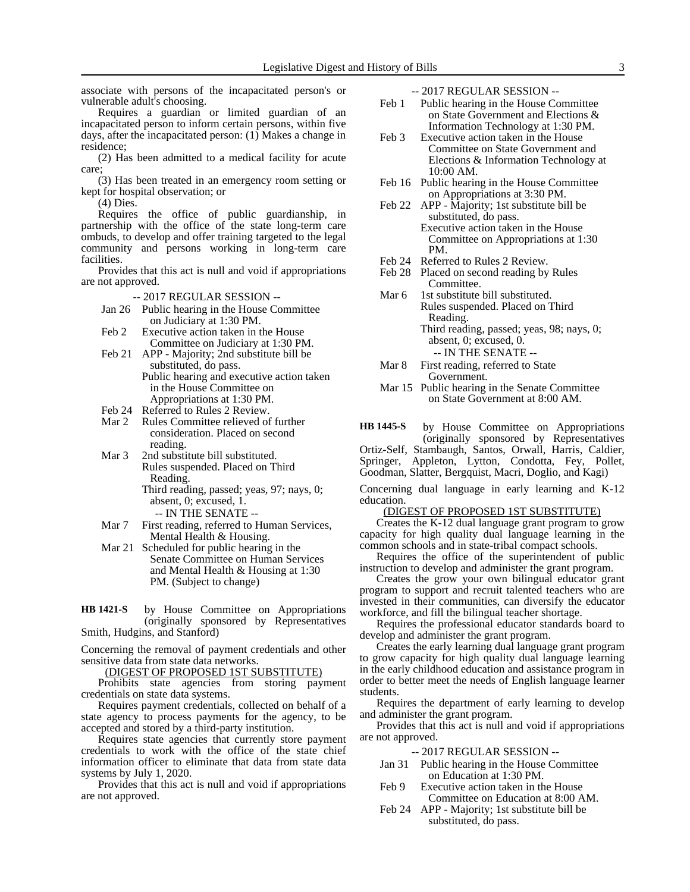associate with persons of the incapacitated person's or vulnerable adult's choosing.

Requires a guardian or limited guardian of an incapacitated person to inform certain persons, within five days, after the incapacitated person: (1) Makes a change in residence;

(2) Has been admitted to a medical facility for acute care;

(3) Has been treated in an emergency room setting or kept for hospital observation; or

(4) Dies.

Requires the office of public guardianship, in partnership with the office of the state long-term care ombuds, to develop and offer training targeted to the legal community and persons working in long-term care facilities.

Provides that this act is null and void if appropriations are not approved.

-- 2017 REGULAR SESSION --

- Jan 26 Public hearing in the House Committee on Judiciary at 1:30 PM.
- Feb 2 Executive action taken in the House Committee on Judiciary at 1:30 PM.
- Feb 21 APP Majority; 2nd substitute bill be substituted, do pass. Public hearing and executive action taken
	- in the House Committee on Appropriations at 1:30 PM.
- Feb 24 Referred to Rules 2 Review.
- Mar 2 Rules Committee relieved of further consideration. Placed on second reading.
- Mar 3 2nd substitute bill substituted. Rules suspended. Placed on Third Reading.
	- Third reading, passed; yeas, 97; nays, 0; absent, 0; excused, 1.
		- -- IN THE SENATE --
- Mar 7 First reading, referred to Human Services, Mental Health & Housing.
- Mar 21 Scheduled for public hearing in the Senate Committee on Human Services and Mental Health & Housing at 1:30 PM. (Subject to change)

by House Committee on Appropriations (originally sponsored by Representatives Smith, Hudgins, and Stanford) **HB 1421-S**

Concerning the removal of payment credentials and other sensitive data from state data networks.

(DIGEST OF PROPOSED 1ST SUBSTITUTE)

Prohibits state agencies from storing payment credentials on state data systems.

Requires payment credentials, collected on behalf of a state agency to process payments for the agency, to be accepted and stored by a third-party institution.

Requires state agencies that currently store payment credentials to work with the office of the state chief information officer to eliminate that data from state data systems by July 1, 2020.

Provides that this act is null and void if appropriations are not approved.

-- 2017 REGULAR SESSION --

- Feb 1 Public hearing in the House Committee on State Government and Elections & Information Technology at 1:30 PM.
- Feb 3 Executive action taken in the House Committee on State Government and Elections & Information Technology at 10:00 AM.
- Feb 16 Public hearing in the House Committee on Appropriations at 3:30 PM.
- Feb 22 APP Majority; 1st substitute bill be substituted, do pass. Executive action taken in the House Committee on Appropriations at 1:30 PM.
- Feb 24 Referred to Rules 2 Review.
- Feb 28 Placed on second reading by Rules Committee.
- Mar 6 1st substitute bill substituted. Rules suspended. Placed on Third Reading. Third reading, passed; yeas, 98; nays, 0; absent, 0; excused, 0. -- IN THE SENATE --
- Mar 8 First reading, referred to State Government.
- Mar 15 Public hearing in the Senate Committee on State Government at 8:00 AM.

by House Committee on Appropriations (originally sponsored by Representatives Ortiz-Self, Stambaugh, Santos, Orwall, Harris, Caldier, Springer, Appleton, Lytton, Condotta, Fey, Pollet, Goodman, Slatter, Bergquist, Macri, Doglio, and Kagi) **HB 1445-S**

Concerning dual language in early learning and K-12 education.

#### (DIGEST OF PROPOSED 1ST SUBSTITUTE)

Creates the K-12 dual language grant program to grow capacity for high quality dual language learning in the common schools and in state-tribal compact schools.

Requires the office of the superintendent of public instruction to develop and administer the grant program.

Creates the grow your own bilingual educator grant program to support and recruit talented teachers who are invested in their communities, can diversify the educator workforce, and fill the bilingual teacher shortage.

Requires the professional educator standards board to develop and administer the grant program.

Creates the early learning dual language grant program to grow capacity for high quality dual language learning in the early childhood education and assistance program in order to better meet the needs of English language learner students.

Requires the department of early learning to develop and administer the grant program.

Provides that this act is null and void if appropriations are not approved.

- Jan 31 Public hearing in the House Committee on Education at 1:30 PM.
- Feb 9 Executive action taken in the House Committee on Education at 8:00 AM.
- Feb 24 APP Majority; 1st substitute bill be substituted, do pass.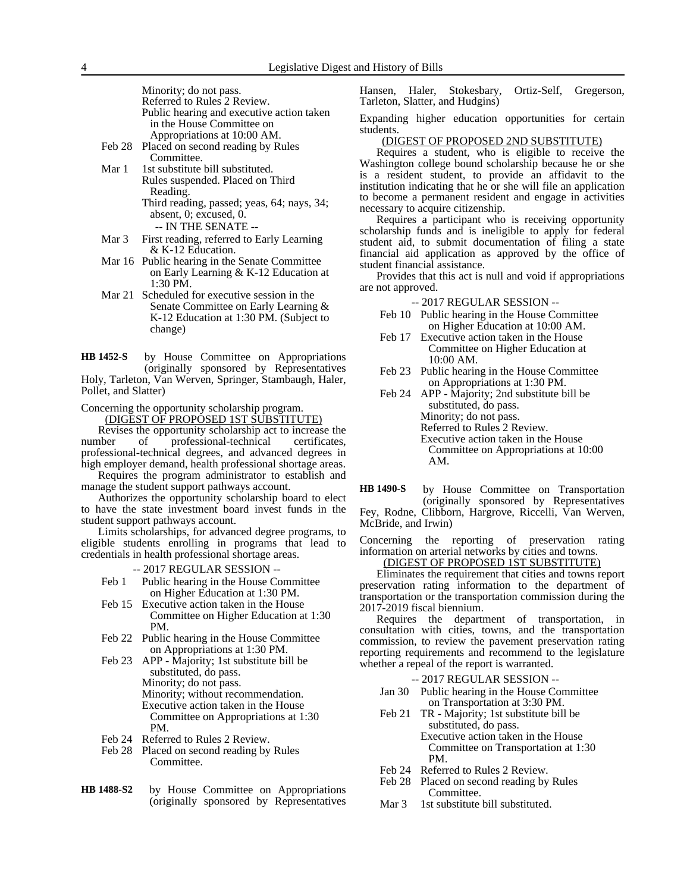Minority; do not pass.

| Referred to Rules 2 Review. |  |  |  |  |
|-----------------------------|--|--|--|--|
|-----------------------------|--|--|--|--|

- Public hearing and executive action taken in the House Committee on Appropriations at 10:00 AM.
- Feb 28 Placed on second reading by Rules Committee.
- Mar 1 1st substitute bill substituted. Rules suspended. Placed on Third Reading.

Third reading, passed; yeas, 64; nays, 34; absent, 0; excused, 0.

-- IN THE SENATE --

- Mar 3 First reading, referred to Early Learning & K-12 Education.
- Mar 16 Public hearing in the Senate Committee on Early Learning & K-12 Education at 1:30 PM.
- Mar 21 Scheduled for executive session in the Senate Committee on Early Learning & K-12 Education at 1:30 PM. (Subject to change)

by House Committee on Appropriations (originally sponsored by Representatives Holy, Tarleton, Van Werven, Springer, Stambaugh, Haler, Pollet, and Slatter) **HB 1452-S**

Concerning the opportunity scholarship program.

(DIGEST OF PROPOSED 1ST SUBSTITUTE)

Revises the opportunity scholarship act to increase the number of professional-technical certificates, professional-technical degrees, and advanced degrees in high employer demand, health professional shortage areas.

Requires the program administrator to establish and manage the student support pathways account.

Authorizes the opportunity scholarship board to elect to have the state investment board invest funds in the student support pathways account.

Limits scholarships, for advanced degree programs, to eligible students enrolling in programs that lead to credentials in health professional shortage areas.

-- 2017 REGULAR SESSION --

- Feb 1 Public hearing in the House Committee on Higher Education at 1:30 PM.
- Feb 15 Executive action taken in the House Committee on Higher Education at 1:30 PM.
- Feb 22 Public hearing in the House Committee on Appropriations at 1:30 PM.
- Feb 23 APP Majority; 1st substitute bill be substituted, do pass. Minority; do not pass. Minority; without recommendation. Executive action taken in the House Committee on Appropriations at 1:30 PM.
- Feb 24 Referred to Rules 2 Review.
- Feb 28 Placed on second reading by Rules Committee.
- by House Committee on Appropriations (originally sponsored by Representatives **HB 1488-S2**

Hansen, Haler, Stokesbary, Ortiz-Self, Gregerson, Tarleton, Slatter, and Hudgins)

Expanding higher education opportunities for certain students.

#### (DIGEST OF PROPOSED 2ND SUBSTITUTE)

Requires a student, who is eligible to receive the Washington college bound scholarship because he or she is a resident student, to provide an affidavit to the institution indicating that he or she will file an application to become a permanent resident and engage in activities necessary to acquire citizenship.

Requires a participant who is receiving opportunity scholarship funds and is ineligible to apply for federal student aid, to submit documentation of filing a state financial aid application as approved by the office of student financial assistance.

Provides that this act is null and void if appropriations are not approved.

-- 2017 REGULAR SESSION --

- Feb 10 Public hearing in the House Committee on Higher Education at 10:00 AM.
- Feb 17 Executive action taken in the House Committee on Higher Education at 10:00 AM.
- Feb 23 Public hearing in the House Committee on Appropriations at 1:30 PM.
- Feb 24 APP Majority; 2nd substitute bill be substituted, do pass. Minority; do not pass. Referred to Rules 2 Review. Executive action taken in the House Committee on Appropriations at 10:00 AM.

by House Committee on Transportation (originally sponsored by Representatives Fey, Rodne, Clibborn, Hargrove, Riccelli, Van Werven, McBride, and Irwin) **HB 1490-S**

Concerning the reporting of preservation rating information on arterial networks by cities and towns. (DIGEST OF PROPOSED 1ST SUBSTITUTE)

Eliminates the requirement that cities and towns report preservation rating information to the department of transportation or the transportation commission during the 2017-2019 fiscal biennium.

Requires the department of transportation, in consultation with cities, towns, and the transportation commission, to review the pavement preservation rating reporting requirements and recommend to the legislature whether a repeal of the report is warranted.

- Jan 30 Public hearing in the House Committee on Transportation at 3:30 PM.
- Feb 21 TR Majority; 1st substitute bill be substituted, do pass. Executive action taken in the House Committee on Transportation at 1:30 PM.
- Feb 24 Referred to Rules 2 Review.
- Feb 28 Placed on second reading by Rules Committee.
- Mar 3 1st substitute bill substituted.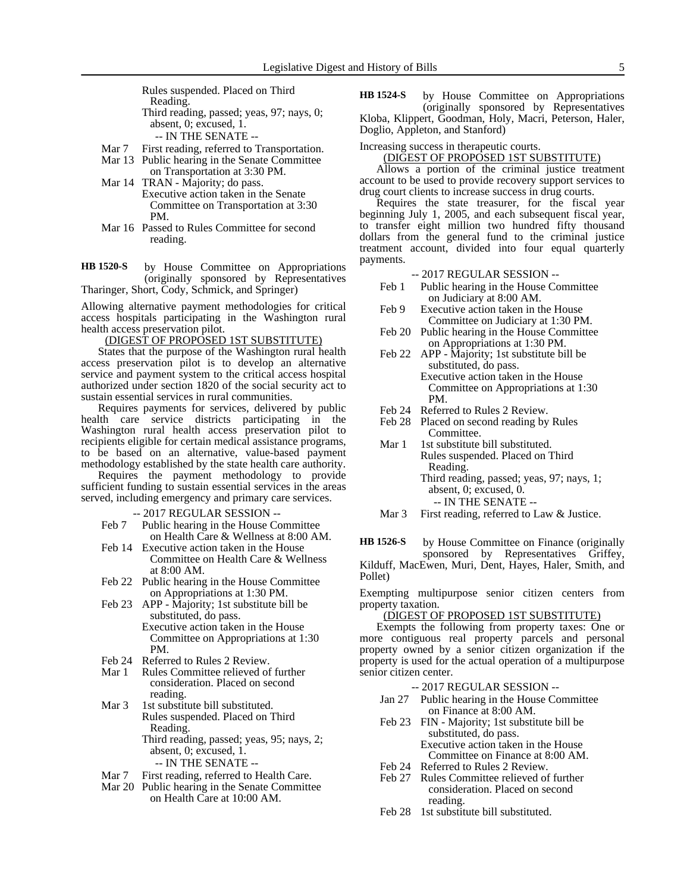Rules suspended. Placed on Third Reading. Third reading, passed; yeas, 97; nays, 0; absent, 0; excused, 1. -- IN THE SENATE --

- Mar 7 First reading, referred to Transportation.
- Mar 13 Public hearing in the Senate Committee on Transportation at 3:30 PM.
- Mar 14 TRAN Majority; do pass. Executive action taken in the Senate Committee on Transportation at 3:30 PM.
- Mar 16 Passed to Rules Committee for second reading.

by House Committee on Appropriations (originally sponsored by Representatives Tharinger, Short, Cody, Schmick, and Springer) **HB 1520-S**

Allowing alternative payment methodologies for critical access hospitals participating in the Washington rural health access preservation pilot.

### (DIGEST OF PROPOSED 1ST SUBSTITUTE)

States that the purpose of the Washington rural health access preservation pilot is to develop an alternative service and payment system to the critical access hospital authorized under section 1820 of the social security act to sustain essential services in rural communities.

Requires payments for services, delivered by public health care service districts participating in the Washington rural health access preservation pilot to recipients eligible for certain medical assistance programs, to be based on an alternative, value-based payment methodology established by the state health care authority.

Requires the payment methodology to provide sufficient funding to sustain essential services in the areas served, including emergency and primary care services.

-- 2017 REGULAR SESSION --

- Feb 7 Public hearing in the House Committee on Health Care & Wellness at 8:00 AM.
- Feb 14 Executive action taken in the House Committee on Health Care & Wellness at 8:00 AM.
- Feb 22 Public hearing in the House Committee on Appropriations at 1:30 PM.
- Feb 23 APP Majority; 1st substitute bill be substituted, do pass. Executive action taken in the House Committee on Appropriations at 1:30 PM.
- Feb 24 Referred to Rules 2 Review.
- Mar 1 Rules Committee relieved of further consideration. Placed on second reading.
- Mar 3 1st substitute bill substituted. Rules suspended. Placed on Third Reading. Third reading, passed; yeas, 95; nays, 2; absent, 0; excused, 1. -- IN THE SENATE --
	-
- Mar 7 First reading, referred to Health Care.
- Mar 20 Public hearing in the Senate Committee on Health Care at 10:00 AM.

by House Committee on Appropriations (originally sponsored by Representatives Kloba, Klippert, Goodman, Holy, Macri, Peterson, Haler, Doglio, Appleton, and Stanford) **HB 1524-S**

Increasing success in therapeutic courts.

(DIGEST OF PROPOSED 1ST SUBSTITUTE)

Allows a portion of the criminal justice treatment account to be used to provide recovery support services to drug court clients to increase success in drug courts.

Requires the state treasurer, for the fiscal year beginning July 1, 2005, and each subsequent fiscal year, to transfer eight million two hundred fifty thousand dollars from the general fund to the criminal justice treatment account, divided into four equal quarterly payments.

-- 2017 REGULAR SESSION --

- Feb 1 Public hearing in the House Committee on Judiciary at 8:00 AM.
- Feb 9 Executive action taken in the House Committee on Judiciary at 1:30 PM.
- Feb 20 Public hearing in the House Committee on Appropriations at 1:30 PM.
- Feb 22 APP Majority; 1st substitute bill be substituted, do pass. Executive action taken in the House Committee on Appropriations at 1:30 PM.
- 
- Feb 24 Referred to Rules 2 Review.<br>Feb 28 Placed on second reading by Placed on second reading by Rules Committee.
- Mar 1 1st substitute bill substituted. Rules suspended. Placed on Third Reading. Third reading, passed; yeas, 97; nays, 1; absent, 0; excused, 0. -- IN THE SENATE --
- Mar 3 First reading, referred to Law & Justice.

by House Committee on Finance (originally sponsored by Representatives Griffey, Kilduff, MacEwen, Muri, Dent, Hayes, Haler, Smith, and Pollet) **HB 1526-S**

Exempting multipurpose senior citizen centers from property taxation.

#### (DIGEST OF PROPOSED 1ST SUBSTITUTE)

Exempts the following from property taxes: One or more contiguous real property parcels and personal property owned by a senior citizen organization if the property is used for the actual operation of a multipurpose senior citizen center.

#### -- 2017 REGULAR SESSION --

- Jan 27 Public hearing in the House Committee on Finance at 8:00 AM.
- Feb 23 FIN Majority; 1st substitute bill be substituted, do pass. Executive action taken in the House

Committee on Finance at 8:00 AM.

- Feb 24 Referred to Rules 2 Review.
- Feb 27 Rules Committee relieved of further consideration. Placed on second reading.
- Feb 28 1st substitute bill substituted.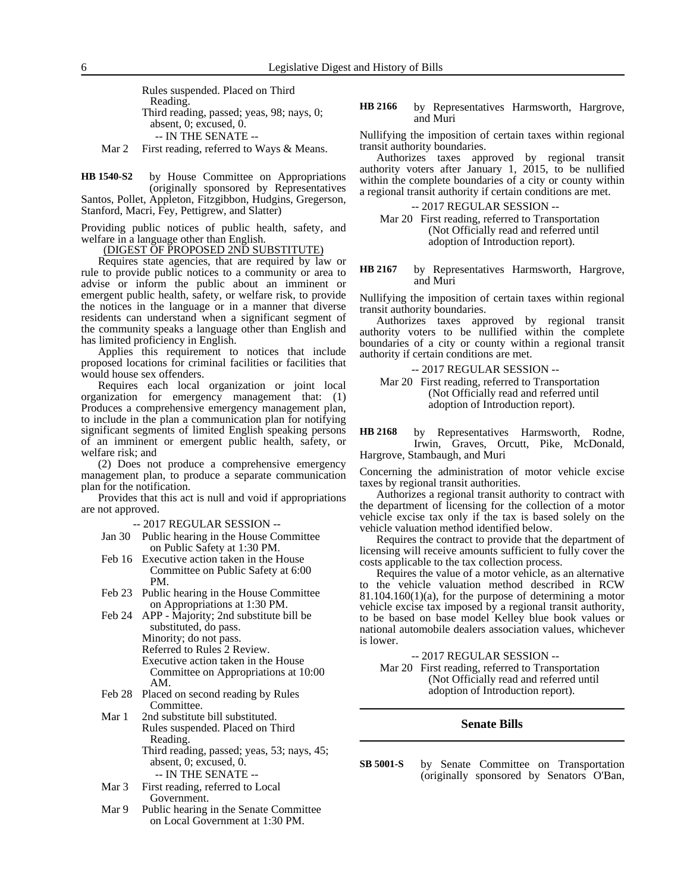Rules suspended. Placed on Third Reading. Third reading, passed; yeas, 98; nays, 0; absent, 0; excused, 0. -- IN THE SENATE --

Mar 2 First reading, referred to Ways & Means.

by House Committee on Appropriations (originally sponsored by Representatives Santos, Pollet, Appleton, Fitzgibbon, Hudgins, Gregerson, Stanford, Macri, Fey, Pettigrew, and Slatter) **HB 1540-S2**

Providing public notices of public health, safety, and welfare in a language other than English.

#### (DIGEST OF PROPOSED 2ND SUBSTITUTE)

Requires state agencies, that are required by law or rule to provide public notices to a community or area to advise or inform the public about an imminent or emergent public health, safety, or welfare risk, to provide the notices in the language or in a manner that diverse residents can understand when a significant segment of the community speaks a language other than English and has limited proficiency in English.

Applies this requirement to notices that include proposed locations for criminal facilities or facilities that would house sex offenders.

Requires each local organization or joint local organization for emergency management that: (1) Produces a comprehensive emergency management plan, to include in the plan a communication plan for notifying significant segments of limited English speaking persons of an imminent or emergent public health, safety, or welfare risk; and

(2) Does not produce a comprehensive emergency management plan, to produce a separate communication plan for the notification.

Provides that this act is null and void if appropriations are not approved.

-- 2017 REGULAR SESSION --

- Jan 30 Public hearing in the House Committee on Public Safety at 1:30 PM.
- Feb 16 Executive action taken in the House Committee on Public Safety at 6:00 PM.
- Feb 23 Public hearing in the House Committee on Appropriations at 1:30 PM.
- Feb 24 APP Majority; 2nd substitute bill be substituted, do pass. Minority; do not pass. Referred to Rules 2 Review. Executive action taken in the House Committee on Appropriations at 10:00 AM.
- Feb 28 Placed on second reading by Rules Committee.
- Mar 1 2nd substitute bill substituted. Rules suspended. Placed on Third Reading. Third reading, passed; yeas, 53; nays, 45; absent, 0; excused, 0.
	- -- IN THE SENATE --
- Mar 3 First reading, referred to Local Government.
- Mar 9 Public hearing in the Senate Committee on Local Government at 1:30 PM.

by Representatives Harmsworth, Hargrove, and Muri **HB 2166**

Nullifying the imposition of certain taxes within regional transit authority boundaries.

Authorizes taxes approved by regional transit authority voters after January 1, 2015, to be nullified within the complete boundaries of a city or county within a regional transit authority if certain conditions are met.

-- 2017 REGULAR SESSION --

Mar 20 First reading, referred to Transportation (Not Officially read and referred until adoption of Introduction report).

by Representatives Harmsworth, Hargrove, and Muri **HB 2167**

Nullifying the imposition of certain taxes within regional transit authority boundaries.

Authorizes taxes approved by regional transit authority voters to be nullified within the complete boundaries of a city or county within a regional transit authority if certain conditions are met.

-- 2017 REGULAR SESSION -- Mar 20 First reading, referred to Transportation (Not Officially read and referred until adoption of Introduction report).

by Representatives Harmsworth, Rodne, Irwin, Graves, Orcutt, Pike, McDonald, Hargrove, Stambaugh, and Muri **HB 2168**

Concerning the administration of motor vehicle excise taxes by regional transit authorities.

Authorizes a regional transit authority to contract with the department of licensing for the collection of a motor vehicle excise tax only if the tax is based solely on the vehicle valuation method identified below.

Requires the contract to provide that the department of licensing will receive amounts sufficient to fully cover the costs applicable to the tax collection process.

Requires the value of a motor vehicle, as an alternative to the vehicle valuation method described in RCW  $81.104.160(1)(a)$ , for the purpose of determining a motor vehicle excise tax imposed by a regional transit authority, to be based on base model Kelley blue book values or national automobile dealers association values, whichever is lower.

-- 2017 REGULAR SESSION --

Mar 20 First reading, referred to Transportation (Not Officially read and referred until adoption of Introduction report).

#### **Senate Bills**

by Senate Committee on Transportation (originally sponsored by Senators O'Ban, **SB 5001-S**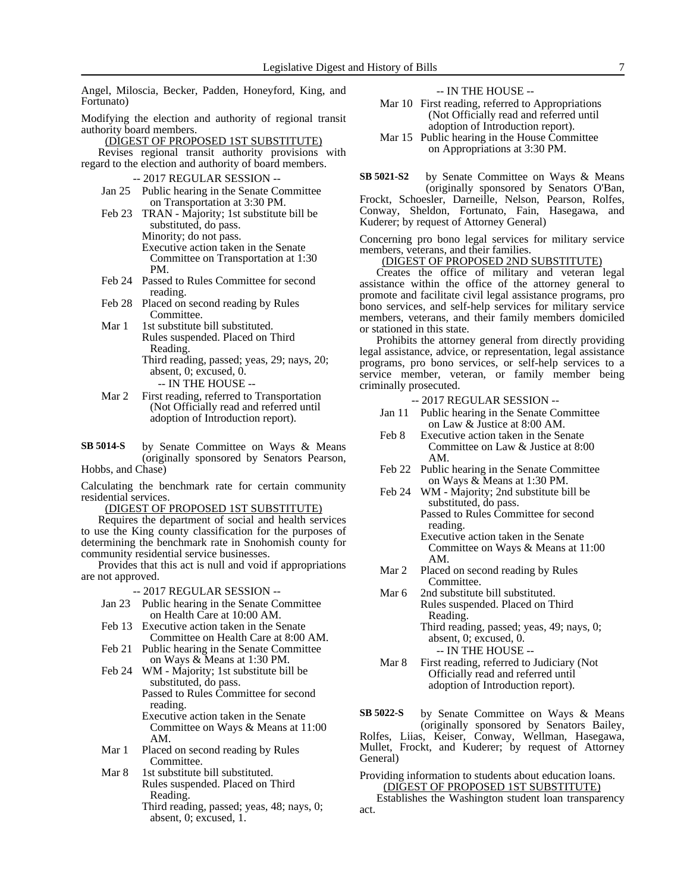Angel, Miloscia, Becker, Padden, Honeyford, King, and Fortunato)

Modifying the election and authority of regional transit authority board members.

(DIGEST OF PROPOSED 1ST SUBSTITUTE)

Revises regional transit authority provisions with regard to the election and authority of board members.

- -- 2017 REGULAR SESSION --
- Jan 25 Public hearing in the Senate Committee on Transportation at 3:30 PM.
- Feb 23 TRAN Majority; 1st substitute bill be substituted, do pass. Minority; do not pass. Executive action taken in the Senate Committee on Transportation at 1:30 PM.
- Feb 24 Passed to Rules Committee for second reading.
- Feb 28 Placed on second reading by Rules Committee.
- Mar 1 1st substitute bill substituted. Rules suspended. Placed on Third Reading. Third reading, passed; yeas, 29; nays, 20;
	- absent, 0; excused, 0. -- IN THE HOUSE --
- Mar 2 First reading, referred to Transportation (Not Officially read and referred until adoption of Introduction report).
- by Senate Committee on Ways & Means (originally sponsored by Senators Pearson, Hobbs, and Chase) **SB 5014-S**

Calculating the benchmark rate for certain community residential services.

(DIGEST OF PROPOSED 1ST SUBSTITUTE)

Requires the department of social and health services to use the King county classification for the purposes of determining the benchmark rate in Snohomish county for community residential service businesses.

Provides that this act is null and void if appropriations are not approved.

-- 2017 REGULAR SESSION --

- Jan 23 Public hearing in the Senate Committee on Health Care at 10:00 AM.
- Feb 13 Executive action taken in the Senate Committee on Health Care at 8:00 AM.
- Feb 21 Public hearing in the Senate Committee on Ways & Means at 1:30 PM.
- Feb 24 WM Majority; 1st substitute bill be substituted, do pass.

Passed to Rules Committee for second reading.

Executive action taken in the Senate Committee on Ways & Means at 11:00 AM.

- Mar 1 Placed on second reading by Rules Committee.
- Mar 8 1st substitute bill substituted. Rules suspended. Placed on Third Reading.
	- Third reading, passed; yeas, 48; nays, 0; absent, 0; excused, 1.

-- IN THE HOUSE --

- Mar 10 First reading, referred to Appropriations (Not Officially read and referred until adoption of Introduction report).
- Mar 15 Public hearing in the House Committee on Appropriations at 3:30 PM.

by Senate Committee on Ways & Means (originally sponsored by Senators O'Ban, Frockt, Schoesler, Darneille, Nelson, Pearson, Rolfes, Conway, Sheldon, Fortunato, Fain, Hasegawa, and Kuderer; by request of Attorney General) **SB 5021-S2**

Concerning pro bono legal services for military service members, veterans, and their families.

#### (DIGEST OF PROPOSED 2ND SUBSTITUTE)

Creates the office of military and veteran legal assistance within the office of the attorney general to promote and facilitate civil legal assistance programs, pro bono services, and self-help services for military service members, veterans, and their family members domiciled or stationed in this state.

Prohibits the attorney general from directly providing legal assistance, advice, or representation, legal assistance programs, pro bono services, or self-help services to a service member, veteran, or family member being criminally prosecuted.

-- 2017 REGULAR SESSION --

- Jan 11 Public hearing in the Senate Committee on Law & Justice at 8:00 AM.
- Feb 8 Executive action taken in the Senate Committee on Law & Justice at 8:00 AM.
- Feb 22 Public hearing in the Senate Committee on Ways & Means at 1:30 PM.
- Feb 24 WM Majority; 2nd substitute bill be substituted, do pass. Passed to Rules Committee for second
	- reading. Executive action taken in the Senate Committee on Ways & Means at 11:00 AM.
- Mar 2 Placed on second reading by Rules Committee.
- Mar 6 2nd substitute bill substituted. Rules suspended. Placed on Third Reading. Third reading, passed; yeas, 49; nays, 0; absent, 0; excused, 0. -- IN THE HOUSE --
- Mar 8 First reading, referred to Judiciary (Not Officially read and referred until adoption of Introduction report).

by Senate Committee on Ways & Means (originally sponsored by Senators Bailey, **SB 5022-S**

Rolfes, Liias, Keiser, Conway, Wellman, Hasegawa, Mullet, Frockt, and Kuderer; by request of Attorney General)

Providing information to students about education loans. (DIGEST OF PROPOSED 1ST SUBSTITUTE)

Establishes the Washington student loan transparency act.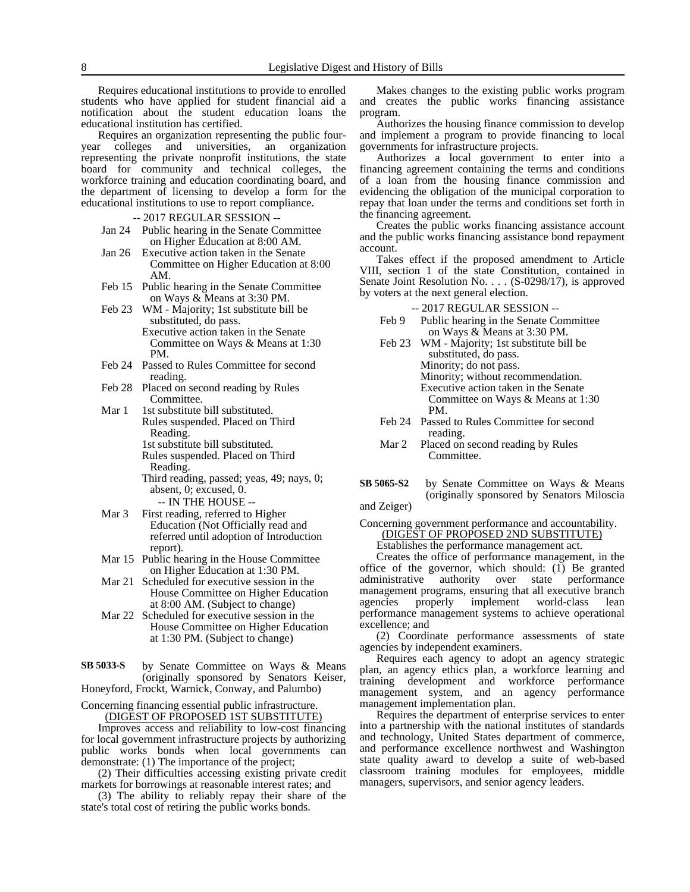Requires educational institutions to provide to enrolled students who have applied for student financial aid a notification about the student education loans the educational institution has certified.

Requires an organization representing the public four-<br>year colleges and universities, an organization colleges and universities, an organization representing the private nonprofit institutions, the state board for community and technical colleges, the workforce training and education coordinating board, and the department of licensing to develop a form for the educational institutions to use to report compliance.

#### -- 2017 REGULAR SESSION --

- Jan 24 Public hearing in the Senate Committee on Higher Education at 8:00 AM.
- Jan 26 Executive action taken in the Senate Committee on Higher Education at 8:00 AM.
- Feb 15 Public hearing in the Senate Committee on Ways & Means at 3:30 PM.
- Feb 23 WM Majority; 1st substitute bill be substituted, do pass. Executive action taken in the Senate Committee on Ways & Means at 1:30
- Feb 24 Passed to Rules Committee for second reading.
- Feb 28 Placed on second reading by Rules Committee.

PM.

- Mar 1 1st substitute bill substituted. Rules suspended. Placed on Third Reading. 1st substitute bill substituted.
	- Rules suspended. Placed on Third Reading.

Third reading, passed; yeas, 49; nays, 0; absent, 0; excused, 0. -- IN THE HOUSE --

- Mar 3 First reading, referred to Higher Education (Not Officially read and referred until adoption of Introduction report).
- Mar 15 Public hearing in the House Committee on Higher Education at 1:30 PM.
- Mar 21 Scheduled for executive session in the House Committee on Higher Education at 8:00 AM. (Subject to change)
- Mar 22 Scheduled for executive session in the House Committee on Higher Education at 1:30 PM. (Subject to change)
- by Senate Committee on Ways & Means (originally sponsored by Senators Keiser, **SB 5033-S**

Honeyford, Frockt, Warnick, Conway, and Palumbo)

Concerning financing essential public infrastructure. (DIGEST OF PROPOSED 1ST SUBSTITUTE)

Improves access and reliability to low-cost financing for local government infrastructure projects by authorizing public works bonds when local governments can demonstrate: (1) The importance of the project;

(2) Their difficulties accessing existing private credit markets for borrowings at reasonable interest rates; and

(3) The ability to reliably repay their share of the state's total cost of retiring the public works bonds.

Makes changes to the existing public works program and creates the public works financing assistance program.

Authorizes the housing finance commission to develop and implement a program to provide financing to local governments for infrastructure projects.

Authorizes a local government to enter into a financing agreement containing the terms and conditions of a loan from the housing finance commission and evidencing the obligation of the municipal corporation to repay that loan under the terms and conditions set forth in the financing agreement.

Creates the public works financing assistance account and the public works financing assistance bond repayment account.

Takes effect if the proposed amendment to Article VIII, section 1 of the state Constitution, contained in Senate Joint Resolution No. . . . (S-0298/17), is approved by voters at the next general election.

-- 2017 REGULAR SESSION --

- Feb 9 Public hearing in the Senate Committee on Ways & Means at 3:30 PM.
- Feb 23 WM Majority; 1st substitute bill be substituted, do pass. Minority; do not pass. Minority; without recommendation. Executive action taken in the Senate Committee on Ways & Means at 1:30 PM.
- Feb 24 Passed to Rules Committee for second reading.
- Mar 2 Placed on second reading by Rules Committee.
- by Senate Committee on Ways & Means (originally sponsored by Senators Miloscia **SB 5065-S2**

and Zeiger)

Concerning government performance and accountability. (DIGEST OF PROPOSED 2ND SUBSTITUTE) Establishes the performance management act.

Creates the office of performance management, in the office of the governor, which should:  $(I)$  Be granted administrative authority over state performance administrative authority over management programs, ensuring that all executive branch agencies properly implement world-class lean performance management systems to achieve operational excellence; and

(2) Coordinate performance assessments of state agencies by independent examiners.

Requires each agency to adopt an agency strategic plan, an agency ethics plan, a workforce learning and training development and workforce performance management system, and an agency performance management implementation plan.

Requires the department of enterprise services to enter into a partnership with the national institutes of standards and technology, United States department of commerce, and performance excellence northwest and Washington state quality award to develop a suite of web-based classroom training modules for employees, middle managers, supervisors, and senior agency leaders.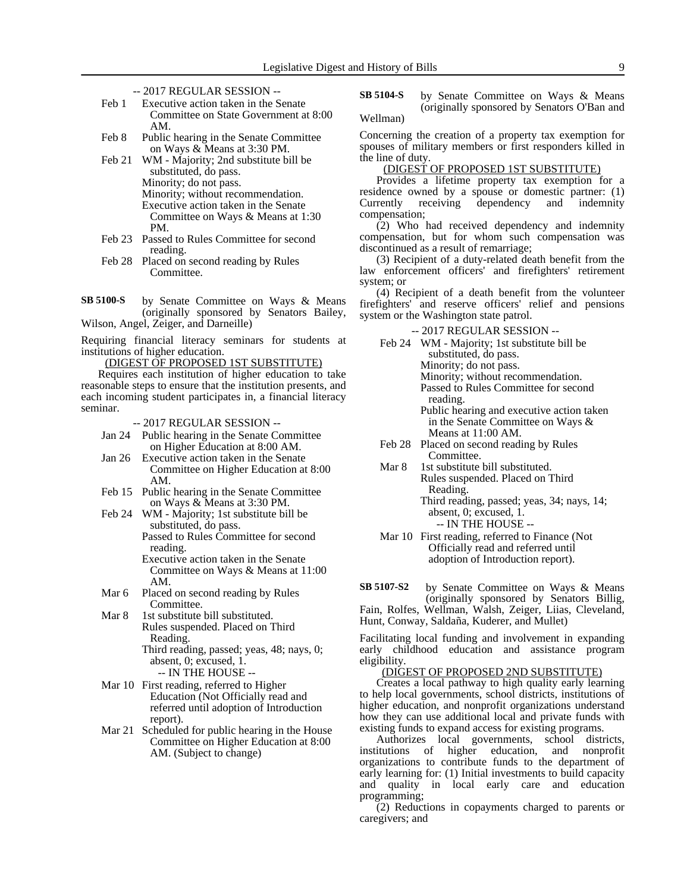- -- 2017 REGULAR SESSION --
- Feb 1 Executive action taken in the Senate Committee on State Government at 8:00 AM.
- Feb 8 Public hearing in the Senate Committee on Ways & Means at 3:30 PM.
- Feb 21 WM Majority; 2nd substitute bill be substituted, do pass. Minority; do not pass. Minority; without recommendation. Executive action taken in the Senate Committee on Ways & Means at 1:30 PM.
- Feb 23 Passed to Rules Committee for second reading.
- Feb 28 Placed on second reading by Rules Committee.
- by Senate Committee on Ways & Means (originally sponsored by Senators Bailey, Wilson, Angel, Zeiger, and Darneille) **SB 5100-S**

Requiring financial literacy seminars for students at institutions of higher education.

(DIGEST OF PROPOSED 1ST SUBSTITUTE)

Requires each institution of higher education to take reasonable steps to ensure that the institution presents, and each incoming student participates in, a financial literacy seminar.

- -- 2017 REGULAR SESSION --
- Jan 24 Public hearing in the Senate Committee on Higher Education at 8:00 AM.
- Jan 26 Executive action taken in the Senate Committee on Higher Education at 8:00 AM.
- Feb 15 Public hearing in the Senate Committee on Ways & Means at 3:30 PM.
- Feb 24 WM Majority; 1st substitute bill be substituted, do pass.

Passed to Rules Committee for second reading.

Executive action taken in the Senate Committee on Ways & Means at 11:00 AM.

Mar 6 Placed on second reading by Rules Committee.

Mar 8 1st substitute bill substituted. Rules suspended. Placed on Third Reading.

Third reading, passed; yeas, 48; nays, 0; absent, 0; excused, 1.

-- IN THE HOUSE -- Mar 10 First reading, referred to Higher Education (Not Officially read and referred until adoption of Introduction

report). Mar 21 Scheduled for public hearing in the House Committee on Higher Education at 8:00

AM. (Subject to change)

by Senate Committee on Ways & Means (originally sponsored by Senators O'Ban and Wellman) **SB 5104-S**

Concerning the creation of a property tax exemption for spouses of military members or first responders killed in the line of duty.

#### (DIGEST OF PROPOSED 1ST SUBSTITUTE)

Provides a lifetime property tax exemption for a residence owned by a spouse or domestic partner: (1) Currently receiving dependency and indemnity compensation;

(2) Who had received dependency and indemnity compensation, but for whom such compensation was discontinued as a result of remarriage;

(3) Recipient of a duty-related death benefit from the law enforcement officers' and firefighters' retirement system; or

(4) Recipient of a death benefit from the volunteer firefighters' and reserve officers' relief and pensions system or the Washington state patrol.

- -- 2017 REGULAR SESSION --
- Feb 24 WM Majority; 1st substitute bill be substituted, do pass. Minority; do not pass. Minority; without recommendation. Passed to Rules Committee for second reading. Public hearing and executive action taken
	- in the Senate Committee on Ways & Means at 11:00 AM.
- Feb 28 Placed on second reading by Rules Committee.
- Mar 8 1st substitute bill substituted. Rules suspended. Placed on Third Reading.
	- Third reading, passed; yeas, 34; nays, 14; absent, 0; excused, 1. -- IN THE HOUSE --
- Mar 10 First reading, referred to Finance (Not Officially read and referred until adoption of Introduction report).

by Senate Committee on Ways & Means (originally sponsored by Senators Billig, Fain, Rolfes, Wellman, Walsh, Zeiger, Liias, Cleveland, **SB 5107-S2**

Hunt, Conway, Saldaña, Kuderer, and Mullet)

Facilitating local funding and involvement in expanding early childhood education and assistance program eligibility.

(DIGEST OF PROPOSED 2ND SUBSTITUTE)

Creates a local pathway to high quality early learning to help local governments, school districts, institutions of higher education, and nonprofit organizations understand how they can use additional local and private funds with existing funds to expand access for existing programs.

Authorizes local governments, school districts, institutions of higher education, and nonprofit organizations to contribute funds to the department of early learning for: (1) Initial investments to build capacity and quality in local early care and education programming;

(2) Reductions in copayments charged to parents or caregivers; and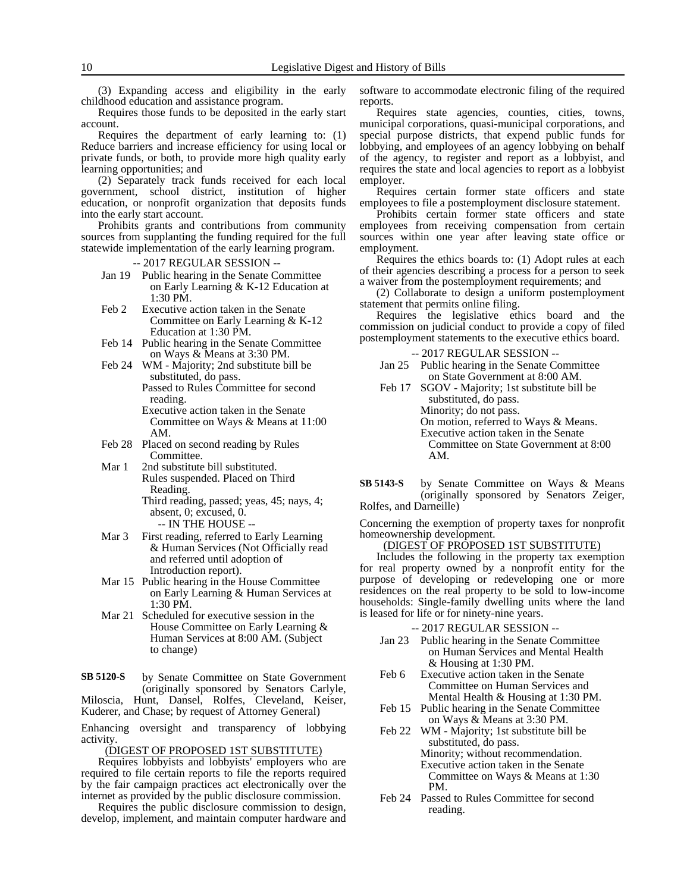(3) Expanding access and eligibility in the early childhood education and assistance program.

Requires those funds to be deposited in the early start account.

Requires the department of early learning to: (1) Reduce barriers and increase efficiency for using local or private funds, or both, to provide more high quality early learning opportunities; and

(2) Separately track funds received for each local government, school district, institution of higher education, or nonprofit organization that deposits funds into the early start account.

Prohibits grants and contributions from community sources from supplanting the funding required for the full statewide implementation of the early learning program.

-- 2017 REGULAR SESSION --

- Jan 19 Public hearing in the Senate Committee on Early Learning & K-12 Education at 1:30 PM.
- Feb 2 Executive action taken in the Senate Committee on Early Learning & K-12 Education at 1:30 PM.
- Feb 14 Public hearing in the Senate Committee on Ways & Means at 3:30 PM.
- Feb 24 WM Majority; 2nd substitute bill be substituted, do pass. Passed to Rules Committee for second

reading. Executive action taken in the Senate Committee on Ways & Means at 11:00 AM.

- Feb 28 Placed on second reading by Rules Committee.
- Mar 1 2nd substitute bill substituted. Rules suspended. Placed on Third Reading.
	- Third reading, passed; yeas, 45; nays, 4; absent, 0; excused, 0. -- IN THE HOUSE --
- Mar 3 First reading, referred to Early Learning & Human Services (Not Officially read and referred until adoption of Introduction report).
- Mar 15 Public hearing in the House Committee on Early Learning & Human Services at 1:30 PM.
- Mar 21 Scheduled for executive session in the House Committee on Early Learning & Human Services at 8:00 AM. (Subject to change)

by Senate Committee on State Government (originally sponsored by Senators Carlyle, Miloscia, Hunt, Dansel, Rolfes, Cleveland, Keiser, **SB 5120-S**

Kuderer, and Chase; by request of Attorney General)

Enhancing oversight and transparency of lobbying activity.

(DIGEST OF PROPOSED 1ST SUBSTITUTE)

Requires lobbyists and lobbyists' employers who are required to file certain reports to file the reports required by the fair campaign practices act electronically over the internet as provided by the public disclosure commission.

Requires the public disclosure commission to design, develop, implement, and maintain computer hardware and software to accommodate electronic filing of the required reports.

Requires state agencies, counties, cities, towns, municipal corporations, quasi-municipal corporations, and special purpose districts, that expend public funds for lobbying, and employees of an agency lobbying on behalf of the agency, to register and report as a lobbyist, and requires the state and local agencies to report as a lobbyist employer.

Requires certain former state officers and state employees to file a postemployment disclosure statement.

Prohibits certain former state officers and state employees from receiving compensation from certain sources within one year after leaving state office or employment.

Requires the ethics boards to: (1) Adopt rules at each of their agencies describing a process for a person to seek a waiver from the postemployment requirements; and

(2) Collaborate to design a uniform postemployment statement that permits online filing.

Requires the legislative ethics board and the commission on judicial conduct to provide a copy of filed postemployment statements to the executive ethics board.

#### -- 2017 REGULAR SESSION --

- Jan 25 Public hearing in the Senate Committee on State Government at 8:00 AM.
- Feb 17 SGOV Majority; 1st substitute bill be substituted, do pass. Minority; do not pass. On motion, referred to Ways & Means. Executive action taken in the Senate Committee on State Government at 8:00 AM.

by Senate Committee on Ways & Means (originally sponsored by Senators Zeiger, Rolfes, and Darneille) **SB 5143-S**

Concerning the exemption of property taxes for nonprofit homeownership development.

### (DIGEST OF PROPOSED 1ST SUBSTITUTE)

Includes the following in the property tax exemption for real property owned by a nonprofit entity for the purpose of developing or redeveloping one or more residences on the real property to be sold to low-income households: Single-family dwelling units where the land is leased for life or for ninety-nine years.

- -- 2017 REGULAR SESSION --
- Jan 23 Public hearing in the Senate Committee on Human Services and Mental Health & Housing at 1:30 PM.
- Feb 6 Executive action taken in the Senate Committee on Human Services and Mental Health & Housing at 1:30 PM.
- Feb 15 Public hearing in the Senate Committee on Ways & Means at 3:30 PM.
- Feb 22 WM Majority; 1st substitute bill be substituted, do pass. Minority; without recommendation. Executive action taken in the Senate Committee on Ways & Means at 1:30 PM.
- Feb 24 Passed to Rules Committee for second reading.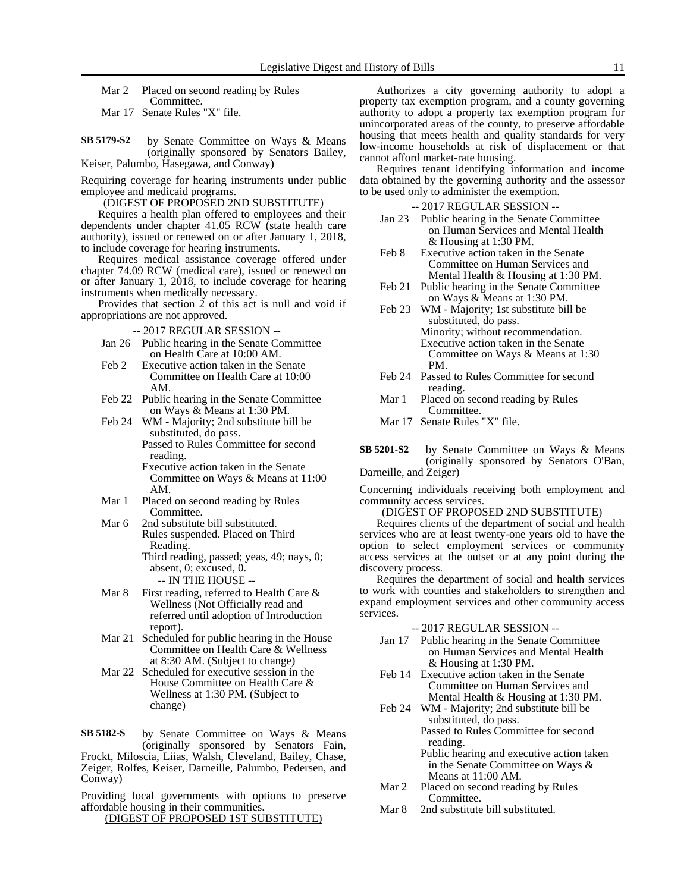Mar 2 Placed on second reading by Rules Committee.

Mar 17 Senate Rules "X" file.

by Senate Committee on Ways & Means (originally sponsored by Senators Bailey, Keiser, Palumbo, Hasegawa, and Conway) **SB 5179-S2**

Requiring coverage for hearing instruments under public employee and medicaid programs.

(DIGEST OF PROPOSED 2ND SUBSTITUTE)

Requires a health plan offered to employees and their dependents under chapter 41.05 RCW (state health care authority), issued or renewed on or after January 1, 2018, to include coverage for hearing instruments.

Requires medical assistance coverage offered under chapter 74.09 RCW (medical care), issued or renewed on or after January 1, 2018, to include coverage for hearing instruments when medically necessary.

Provides that section 2 of this act is null and void if appropriations are not approved.

- -- 2017 REGULAR SESSION --
- Jan 26 Public hearing in the Senate Committee on Health Care at 10:00 AM.
- Feb 2 Executive action taken in the Senate Committee on Health Care at 10:00 AM.
- Feb 22 Public hearing in the Senate Committee on Ways & Means at 1:30 PM.
- Feb 24 WM Majority; 2nd substitute bill be substituted, do pass. Passed to Rules Committee for second

reading. Executive action taken in the Senate Committee on Ways & Means at 11:00 AM.

- Mar 1 Placed on second reading by Rules Committee.
- Mar 6 2nd substitute bill substituted. Rules suspended. Placed on Third Reading. Third reading, passed; yeas, 49; nays, 0;

absent, 0; excused, 0. -- IN THE HOUSE --

- Mar 8 First reading, referred to Health Care & Wellness (Not Officially read and referred until adoption of Introduction report).
- Mar 21 Scheduled for public hearing in the House Committee on Health Care & Wellness at 8:30 AM. (Subject to change)
- Mar 22 Scheduled for executive session in the House Committee on Health Care & Wellness at 1:30 PM. (Subject to change)

by Senate Committee on Ways & Means (originally sponsored by Senators Fain, Frockt, Miloscia, Liias, Walsh, Cleveland, Bailey, Chase, Zeiger, Rolfes, Keiser, Darneille, Palumbo, Pedersen, and Conway) **SB 5182-S**

Providing local governments with options to preserve affordable housing in their communities.

(DIGEST OF PROPOSED 1ST SUBSTITUTE)

Authorizes a city governing authority to adopt a property tax exemption program, and a county governing authority to adopt a property tax exemption program for unincorporated areas of the county, to preserve affordable housing that meets health and quality standards for very low-income households at risk of displacement or that cannot afford market-rate housing.

Requires tenant identifying information and income data obtained by the governing authority and the assessor to be used only to administer the exemption.

-- 2017 REGULAR SESSION --

- Jan 23 Public hearing in the Senate Committee on Human Services and Mental Health & Housing at 1:30 PM.
- Feb 8 Executive action taken in the Senate Committee on Human Services and Mental Health & Housing at 1:30 PM.
- Feb 21 Public hearing in the Senate Committee on Ways & Means at 1:30 PM.
- Feb 23 WM Majority; 1st substitute bill be substituted, do pass. Minority; without recommendation. Executive action taken in the Senate Committee on Ways & Means at 1:30 PM.
- Feb 24 Passed to Rules Committee for second reading.
- Mar 1 Placed on second reading by Rules Committee.
- Mar 17 Senate Rules "X" file.

by Senate Committee on Ways & Means (originally sponsored by Senators O'Ban, Darneille, and Zeiger) **SB 5201-S2**

Concerning individuals receiving both employment and community access services.

#### (DIGEST OF PROPOSED 2ND SUBSTITUTE)

Requires clients of the department of social and health services who are at least twenty-one years old to have the option to select employment services or community access services at the outset or at any point during the discovery process.

Requires the department of social and health services to work with counties and stakeholders to strengthen and expand employment services and other community access services.

- -- 2017 REGULAR SESSION --
- Jan 17 Public hearing in the Senate Committee on Human Services and Mental Health & Housing at 1:30 PM.
- Feb 14 Executive action taken in the Senate Committee on Human Services and Mental Health & Housing at 1:30 PM.
- Feb 24 WM Majority; 2nd substitute bill be substituted, do pass. Passed to Rules Committee for second reading.
	- Public hearing and executive action taken in the Senate Committee on Ways & Means at 11:00 AM.
- Mar 2 Placed on second reading by Rules Committee.
- Mar 8 2nd substitute bill substituted.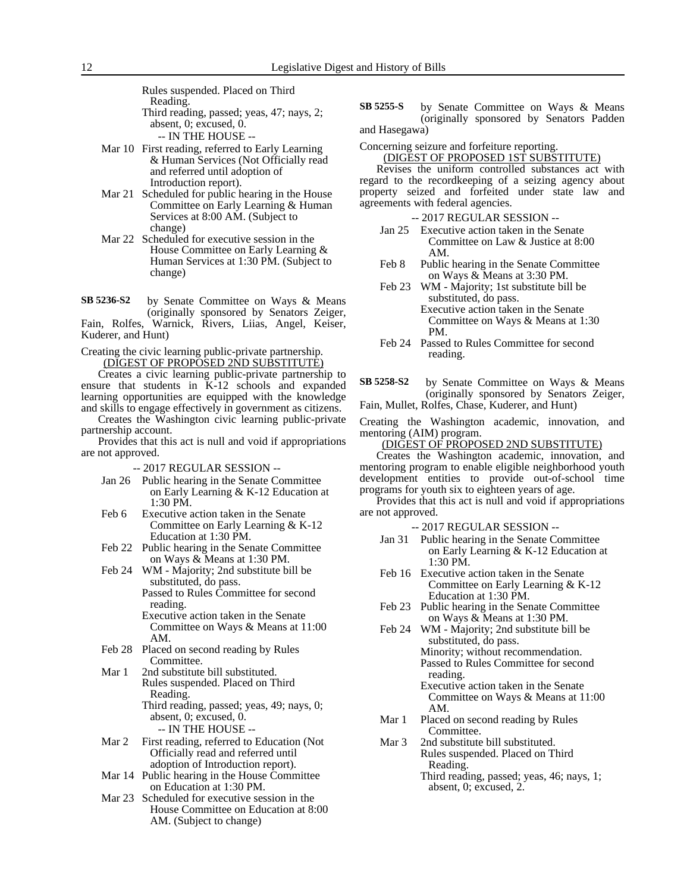Rules suspended. Placed on Third Reading. Third reading, passed; yeas, 47; nays, 2; absent, 0; excused, 0.

-- IN THE HOUSE --

- Mar 10 First reading, referred to Early Learning & Human Services (Not Officially read and referred until adoption of Introduction report).
- Mar 21 Scheduled for public hearing in the House Committee on Early Learning & Human Services at 8:00 AM. (Subject to change)
- Mar 22 Scheduled for executive session in the House Committee on Early Learning & Human Services at 1:30 PM. (Subject to change)

by Senate Committee on Ways & Means (originally sponsored by Senators Zeiger, Fain, Rolfes, Warnick, Rivers, Liias, Angel, Keiser, Kuderer, and Hunt) **SB 5236-S2**

Creating the civic learning public-private partnership. (DIGEST OF PROPOSED 2ND SUBSTITUTE)

Creates a civic learning public-private partnership to ensure that students in K-12 schools and expanded learning opportunities are equipped with the knowledge and skills to engage effectively in government as citizens.

Creates the Washington civic learning public-private partnership account.

Provides that this act is null and void if appropriations are not approved.

-- 2017 REGULAR SESSION --

- Jan 26 Public hearing in the Senate Committee on Early Learning & K-12 Education at 1:30 PM.
- Feb 6 Executive action taken in the Senate Committee on Early Learning & K-12 Education at 1:30 PM.
- Feb 22 Public hearing in the Senate Committee on Ways & Means at 1:30 PM.
- Feb 24 WM Majority; 2nd substitute bill be substituted, do pass. Passed to Rules Committee for second reading.
	- Executive action taken in the Senate Committee on Ways & Means at 11:00 AM.
- Feb 28 Placed on second reading by Rules Committee.
- Mar 1 2nd substitute bill substituted. Rules suspended. Placed on Third Reading. Third reading, passed; yeas, 49; nays, 0;

absent, 0; excused, 0.

- -- IN THE HOUSE --
- Mar 2 First reading, referred to Education (Not Officially read and referred until adoption of Introduction report).
- Mar 14 Public hearing in the House Committee on Education at 1:30 PM.
- Mar 23 Scheduled for executive session in the House Committee on Education at 8:00 AM. (Subject to change)

by Senate Committee on Ways & Means (originally sponsored by Senators Padden and Hasegawa) **SB 5255-S**

Concerning seizure and forfeiture reporting. (DIGEST OF PROPOSED 1ST SUBSTITUTE)

Revises the uniform controlled substances act with regard to the recordkeeping of a seizing agency about property seized and forfeited under state law and agreements with federal agencies.

-- 2017 REGULAR SESSION --

- Jan 25 Executive action taken in the Senate Committee on Law & Justice at 8:00 AM.
- Feb 8 Public hearing in the Senate Committee on Ways & Means at 3:30 PM.
- Feb 23 WM Majority; 1st substitute bill be substituted, do pass. Executive action taken in the Senate Committee on Ways & Means at 1:30 PM.
- Feb 24 Passed to Rules Committee for second reading.
- by Senate Committee on Ways & Means (originally sponsored by Senators Zeiger, Fain, Mullet, Rolfes, Chase, Kuderer, and Hunt) **SB 5258-S2**
- Creating the Washington academic, innovation, and mentoring (AIM) program.

(DIGEST OF PROPOSED 2ND SUBSTITUTE)

Creates the Washington academic, innovation, and mentoring program to enable eligible neighborhood youth development entities to provide out-of-school time programs for youth six to eighteen years of age.

Provides that this act is null and void if appropriations are not approved.

- Jan 31 Public hearing in the Senate Committee on Early Learning & K-12 Education at 1:30 PM.
- Feb 16 Executive action taken in the Senate Committee on Early Learning & K-12 Education at 1:30 PM.
- Feb 23 Public hearing in the Senate Committee on Ways & Means at 1:30 PM.
- Feb 24 WM Majority; 2nd substitute bill be substituted, do pass. Minority; without recommendation. Passed to Rules Committee for second reading.
	- Executive action taken in the Senate Committee on Ways & Means at 11:00 AM.
- Mar 1 Placed on second reading by Rules Committee.
- Mar 3 2nd substitute bill substituted. Rules suspended. Placed on Third Reading.
	- Third reading, passed; yeas, 46; nays, 1; absent, 0; excused, 2.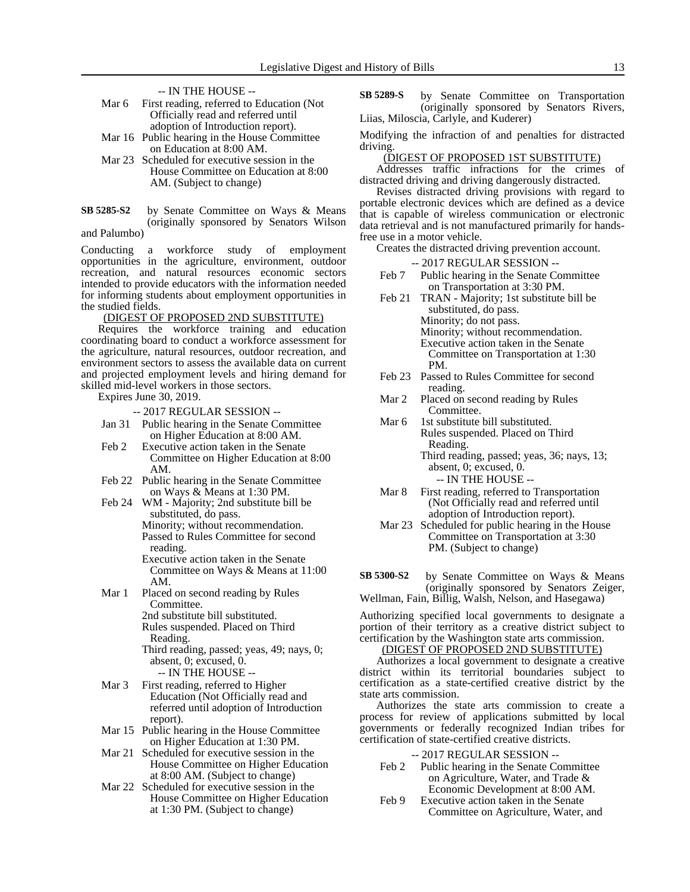-- IN THE HOUSE --

| Mar 6 | First reading, referred to Education (Not)                                                                                                                                                                                                                                                                                                          |
|-------|-----------------------------------------------------------------------------------------------------------------------------------------------------------------------------------------------------------------------------------------------------------------------------------------------------------------------------------------------------|
|       | Officially read and referred until                                                                                                                                                                                                                                                                                                                  |
|       | adoption of Introduction report).                                                                                                                                                                                                                                                                                                                   |
| . .   | $\overline{a}$ , $\overline{a}$ , $\overline{a}$ , $\overline{a}$ , $\overline{a}$ , $\overline{a}$ , $\overline{a}$ , $\overline{a}$ , $\overline{a}$ , $\overline{a}$ , $\overline{a}$ , $\overline{a}$ , $\overline{a}$ , $\overline{a}$ , $\overline{a}$ , $\overline{a}$ , $\overline{a}$ , $\overline{a}$ , $\overline{a}$ , $\overline{a}$ , |

- Mar 16 Public hearing in the House Committee on Education at 8:00 AM.
- Mar 23 Scheduled for executive session in the House Committee on Education at 8:00 AM. (Subject to change)
- by Senate Committee on Ways & Means (originally sponsored by Senators Wilson **SB 5285-S2**

and Palumbo)

Conducting a workforce study of employment opportunities in the agriculture, environment, outdoor recreation, and natural resources economic sectors intended to provide educators with the information needed for informing students about employment opportunities in the studied fields.

(DIGEST OF PROPOSED 2ND SUBSTITUTE)

Requires the workforce training and education coordinating board to conduct a workforce assessment for the agriculture, natural resources, outdoor recreation, and environment sectors to assess the available data on current and projected employment levels and hiring demand for skilled mid-level workers in those sectors.

Expires June 30, 2019.

-- 2017 REGULAR SESSION --

- Jan 31 Public hearing in the Senate Committee on Higher Education at 8:00 AM.
- Feb 2 Executive action taken in the Senate Committee on Higher Education at 8:00 AM.
- Feb 22 Public hearing in the Senate Committee on Ways & Means at 1:30 PM.
- Feb 24 WM Majority; 2nd substitute bill be substituted, do pass. Minority; without recommendation. Passed to Rules Committee for second reading.
	- Executive action taken in the Senate Committee on Ways & Means at 11:00 AM.
- Mar 1 Placed on second reading by Rules Committee. 2nd substitute bill substituted.

Rules suspended. Placed on Third Reading.

Third reading, passed; yeas, 49; nays, 0; absent, 0; excused, 0.

- -- IN THE HOUSE -- Mar 3 First reading, referred to Higher Education (Not Officially read and referred until adoption of Introduction
- report). Mar 15 Public hearing in the House Committee on Higher Education at 1:30 PM.
- Mar 21 Scheduled for executive session in the House Committee on Higher Education at 8:00 AM. (Subject to change)
- Mar 22 Scheduled for executive session in the House Committee on Higher Education at 1:30 PM. (Subject to change)

by Senate Committee on Transportation (originally sponsored by Senators Rivers, Liias, Miloscia, Carlyle, and Kuderer) **SB 5289-S**

Modifying the infraction of and penalties for distracted driving.

(DIGEST OF PROPOSED 1ST SUBSTITUTE)

Addresses traffic infractions for the crimes of distracted driving and driving dangerously distracted.

Revises distracted driving provisions with regard to portable electronic devices which are defined as a device that is capable of wireless communication or electronic data retrieval and is not manufactured primarily for handsfree use in a motor vehicle.

Creates the distracted driving prevention account.

-- 2017 REGULAR SESSION --

- Feb 7 Public hearing in the Senate Committee on Transportation at 3:30 PM.
- Feb 21 TRAN Majority; 1st substitute bill be substituted, do pass. Minority; do not pass. Minority; without recommendation. Executive action taken in the Senate Committee on Transportation at 1:30 PM.
- Feb 23 Passed to Rules Committee for second reading.
- Mar 2 Placed on second reading by Rules Committee.
- Mar 6 1st substitute bill substituted. Rules suspended. Placed on Third Reading. Third reading, passed; yeas, 36; nays, 13; absent, 0; excused, 0.
	- -- IN THE HOUSE --
- Mar 8 First reading, referred to Transportation (Not Officially read and referred until adoption of Introduction report).
- Mar 23 Scheduled for public hearing in the House Committee on Transportation at 3:30 PM. (Subject to change)
- by Senate Committee on Ways & Means (originally sponsored by Senators Zeiger, Wellman, Fain, Billig, Walsh, Nelson, and Hasegawa) **SB 5300-S2**

Authorizing specified local governments to designate a portion of their territory as a creative district subject to certification by the Washington state arts commission.

(DIGEST OF PROPOSED 2ND SUBSTITUTE)

Authorizes a local government to designate a creative district within its territorial boundaries subject to certification as a state-certified creative district by the state arts commission.

Authorizes the state arts commission to create a process for review of applications submitted by local governments or federally recognized Indian tribes for certification of state-certified creative districts.

- Feb 2 Public hearing in the Senate Committee on Agriculture, Water, and Trade & Economic Development at 8:00 AM.
- Feb 9 Executive action taken in the Senate Committee on Agriculture, Water, and